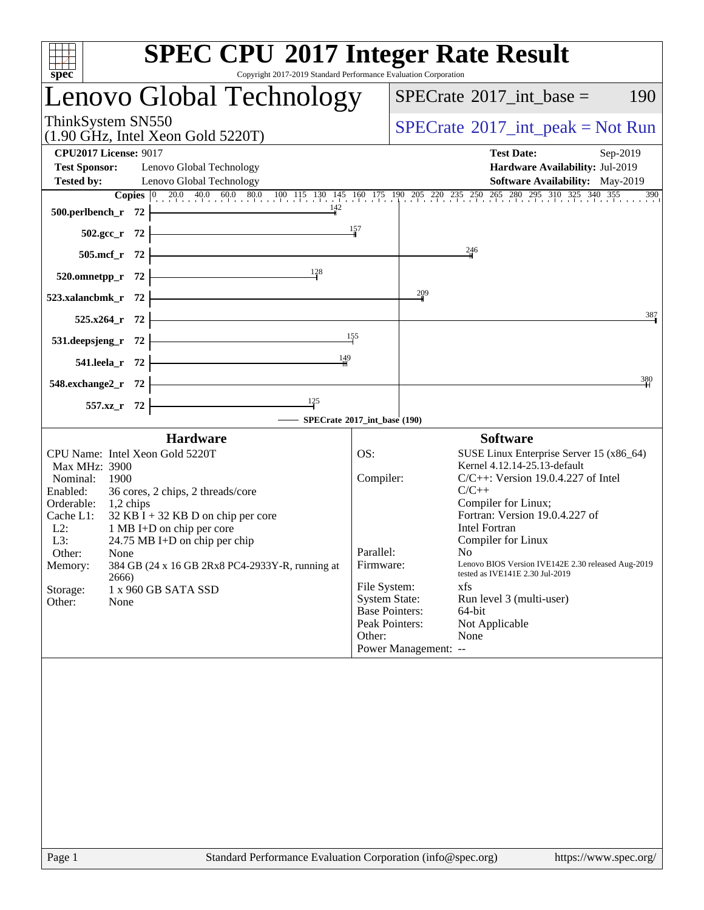| spec                                                                                                                                                                                                                                                                                                                                                                                                                                                      | <b>SPEC CPU®2017 Integer Rate Result</b><br>Copyright 2017-2019 Standard Performance Evaluation Corporation                                                                                                                                                                                                                                                                                                                                                                                                                                                                                     |
|-----------------------------------------------------------------------------------------------------------------------------------------------------------------------------------------------------------------------------------------------------------------------------------------------------------------------------------------------------------------------------------------------------------------------------------------------------------|-------------------------------------------------------------------------------------------------------------------------------------------------------------------------------------------------------------------------------------------------------------------------------------------------------------------------------------------------------------------------------------------------------------------------------------------------------------------------------------------------------------------------------------------------------------------------------------------------|
| Lenovo Global Technology                                                                                                                                                                                                                                                                                                                                                                                                                                  | $SPECrate^{\circledast}2017\_int\_base =$<br>190                                                                                                                                                                                                                                                                                                                                                                                                                                                                                                                                                |
| ThinkSystem SN550<br>$(1.90 \text{ GHz}, \text{Intel Xeon Gold } 5220 \text{T})$                                                                                                                                                                                                                                                                                                                                                                          | $SPECrate^{\circledast}2017\_int\_peak = Not Run$                                                                                                                                                                                                                                                                                                                                                                                                                                                                                                                                               |
| <b>CPU2017 License: 9017</b><br><b>Test Sponsor:</b><br>Lenovo Global Technology<br><b>Tested by:</b><br>Lenovo Global Technology                                                                                                                                                                                                                                                                                                                         | <b>Test Date:</b><br>Sep-2019<br>Hardware Availability: Jul-2019<br>Software Availability: May-2019<br><b>Copies</b> 0 20.0 40.0 60.0 80.0 100 115 130 145 160 175 190 205 220 235 250 265 280 295 310 325 340 355 390                                                                                                                                                                                                                                                                                                                                                                          |
| 500.perlbench_r 72 $\frac{142}{4}$                                                                                                                                                                                                                                                                                                                                                                                                                        |                                                                                                                                                                                                                                                                                                                                                                                                                                                                                                                                                                                                 |
| 502.gcc_r 72 $\frac{157}{10}$<br>$505.mcf_r$ 72                                                                                                                                                                                                                                                                                                                                                                                                           | $\frac{246}{4}$                                                                                                                                                                                                                                                                                                                                                                                                                                                                                                                                                                                 |
| 520.omnetpp_r 72 $\frac{128}{1}$                                                                                                                                                                                                                                                                                                                                                                                                                          |                                                                                                                                                                                                                                                                                                                                                                                                                                                                                                                                                                                                 |
| 523.xalancbmk_r $72$ $\overline{\phantom{a}}$                                                                                                                                                                                                                                                                                                                                                                                                             | $\frac{209}{1}$                                                                                                                                                                                                                                                                                                                                                                                                                                                                                                                                                                                 |
| $525.x264_r$ 72                                                                                                                                                                                                                                                                                                                                                                                                                                           | 387                                                                                                                                                                                                                                                                                                                                                                                                                                                                                                                                                                                             |
| 531.deepsjeng_r $72$ $\overline{\qquad}$ $\qquad \qquad$ $\qquad \qquad$ $\qquad \qquad$ $\qquad \qquad$ $\qquad \qquad$ $\qquad \qquad$ $\qquad$ $\qquad \qquad$ $\qquad$ $\qquad$ $\qquad$ $\qquad$ $\qquad$ $\qquad$ $\qquad$ $\qquad$ $\qquad$ $\qquad$ $\qquad$ $\qquad$ $\qquad$ $\qquad$ $\qquad$ $\qquad$ $\qquad$ $\qquad$ $\qquad$ $\qquad$<br>541.leela_r 72 $\frac{149}{11}$                                                                  |                                                                                                                                                                                                                                                                                                                                                                                                                                                                                                                                                                                                 |
| $548.\text{exchange2}_r$ 72                                                                                                                                                                                                                                                                                                                                                                                                                               | 380                                                                                                                                                                                                                                                                                                                                                                                                                                                                                                                                                                                             |
| $\frac{125}{1}$<br>557.xz_r 72 $\vert$                                                                                                                                                                                                                                                                                                                                                                                                                    |                                                                                                                                                                                                                                                                                                                                                                                                                                                                                                                                                                                                 |
|                                                                                                                                                                                                                                                                                                                                                                                                                                                           | SPECrate®2017_int_base (190)                                                                                                                                                                                                                                                                                                                                                                                                                                                                                                                                                                    |
| <b>Hardware</b><br>CPU Name: Intel Xeon Gold 5220T<br><b>Max MHz: 3900</b><br>Nominal:<br>1900<br>Enabled:<br>36 cores, 2 chips, 2 threads/core<br>Orderable: 1,2 chips<br>$32$ KB I + 32 KB D on chip per core<br>Cache L1:<br>$L2$ :<br>1 MB I+D on chip per core<br>24.75 MB I+D on chip per chip<br>L3:<br>Other:<br>None<br>384 GB (24 x 16 GB 2Rx8 PC4-2933Y-R, running at<br>Memory:<br>2666)<br>Storage:<br>1 x 960 GB SATA SSD<br>Other:<br>None | <b>Software</b><br>OS:<br>SUSE Linux Enterprise Server 15 (x86_64)<br>Kernel 4.12.14-25.13-default<br>Compiler:<br>$C/C++$ : Version 19.0.4.227 of Intel<br>$C/C++$<br>Compiler for Linux;<br>Fortran: Version 19.0.4.227 of<br><b>Intel Fortran</b><br>Compiler for Linux<br>Parallel:<br>No<br>Lenovo BIOS Version IVE142E 2.30 released Aug-2019<br>Firmware:<br>tested as IVE141E 2.30 Jul-2019<br>File System:<br>xfs<br><b>System State:</b><br>Run level 3 (multi-user)<br><b>Base Pointers:</b><br>64-bit<br>Peak Pointers:<br>Not Applicable<br>Other:<br>None<br>Power Management: -- |
|                                                                                                                                                                                                                                                                                                                                                                                                                                                           |                                                                                                                                                                                                                                                                                                                                                                                                                                                                                                                                                                                                 |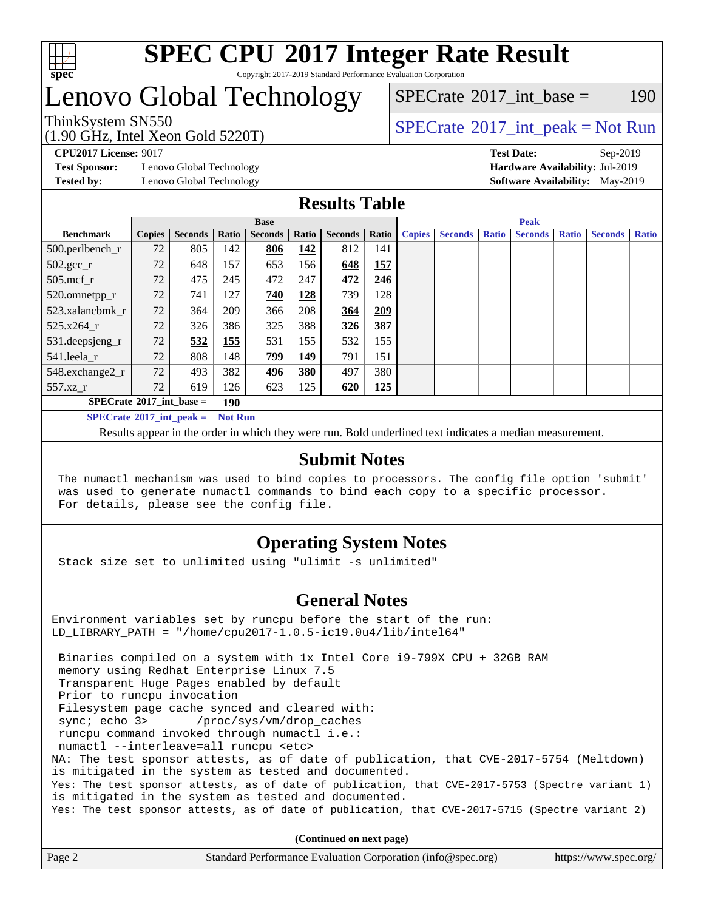

### **[SPEC CPU](http://www.spec.org/auto/cpu2017/Docs/result-fields.html#SPECCPU2017IntegerRateResult)[2017 Integer Rate Result](http://www.spec.org/auto/cpu2017/Docs/result-fields.html#SPECCPU2017IntegerRateResult)** Copyright 2017-2019 Standard Performance Evaluation Corporation

# Lenovo Global Technology

[SPECrate](http://www.spec.org/auto/cpu2017/Docs/result-fields.html#SPECrate2017intbase)<sup>®</sup>2017 int base = 190

(1.90 GHz, Intel Xeon Gold 5220T)

ThinkSystem SN550<br>  $(1.00 \text{ GHz. Intel Yes} \cdot \text{Cold} \cdot 5220 \text{T})$  [SPECrate](http://www.spec.org/auto/cpu2017/Docs/result-fields.html#SPECrate2017intpeak)®[2017\\_int\\_peak = N](http://www.spec.org/auto/cpu2017/Docs/result-fields.html#SPECrate2017intpeak)ot Run

**[Test Sponsor:](http://www.spec.org/auto/cpu2017/Docs/result-fields.html#TestSponsor)** Lenovo Global Technology **[Hardware Availability:](http://www.spec.org/auto/cpu2017/Docs/result-fields.html#HardwareAvailability)** Jul-2019

**[CPU2017 License:](http://www.spec.org/auto/cpu2017/Docs/result-fields.html#CPU2017License)** 9017 **[Test Date:](http://www.spec.org/auto/cpu2017/Docs/result-fields.html#TestDate)** Sep-2019 **[Tested by:](http://www.spec.org/auto/cpu2017/Docs/result-fields.html#Testedby)** Lenovo Global Technology **[Software Availability:](http://www.spec.org/auto/cpu2017/Docs/result-fields.html#SoftwareAvailability)** May-2019

### **[Results Table](http://www.spec.org/auto/cpu2017/Docs/result-fields.html#ResultsTable)**

|                                   | <b>Base</b>   |                |                |                | <b>Peak</b> |                |       |               |                |              |                |              |                |              |
|-----------------------------------|---------------|----------------|----------------|----------------|-------------|----------------|-------|---------------|----------------|--------------|----------------|--------------|----------------|--------------|
| <b>Benchmark</b>                  | <b>Copies</b> | <b>Seconds</b> | Ratio          | <b>Seconds</b> | Ratio       | <b>Seconds</b> | Ratio | <b>Copies</b> | <b>Seconds</b> | <b>Ratio</b> | <b>Seconds</b> | <b>Ratio</b> | <b>Seconds</b> | <b>Ratio</b> |
| 500.perlbench_r                   | 72            | 805            | 142            | 806            | 142         | 812            | 141   |               |                |              |                |              |                |              |
| $502.\text{gcc}_r$                | 72            | 648            | 157            | 653            | 156         | 648            | 157   |               |                |              |                |              |                |              |
| $505$ .mcf r                      | 72            | 475            | 245            | 472            | 247         | 472            | 246   |               |                |              |                |              |                |              |
| 520.omnetpp_r                     | 72            | 741            | 127            | 740            | 128         | 739            | 128   |               |                |              |                |              |                |              |
| 523.xalancbmk r                   | 72            | 364            | 209            | 366            | 208         | 364            | 209   |               |                |              |                |              |                |              |
| 525.x264 r                        | 72            | 326            | 386            | 325            | 388         | 326            | 387   |               |                |              |                |              |                |              |
| 531.deepsjeng_r                   | 72            | 532            | 155            | 531            | 155         | 532            | 155   |               |                |              |                |              |                |              |
| 541.leela r                       | 72            | 808            | 148            | <u>799</u>     | <u>149</u>  | 791            | 151   |               |                |              |                |              |                |              |
| 548.exchange2_r                   | 72            | 493            | 382            | 496            | 380         | 497            | 380   |               |                |              |                |              |                |              |
| 557.xz                            | 72            | 619            | 126            | 623            | 125         | 620            | 125   |               |                |              |                |              |                |              |
| $SPECrate^{\circ}2017$ int base = |               |                | 190            |                |             |                |       |               |                |              |                |              |                |              |
| $SPECrate^{\circ}2017$ int peak = |               |                | <b>Not Run</b> |                |             |                |       |               |                |              |                |              |                |              |

Results appear in the [order in which they were run](http://www.spec.org/auto/cpu2017/Docs/result-fields.html#RunOrder). Bold underlined text [indicates a median measurement](http://www.spec.org/auto/cpu2017/Docs/result-fields.html#Median).

### **[Submit Notes](http://www.spec.org/auto/cpu2017/Docs/result-fields.html#SubmitNotes)**

 The numactl mechanism was used to bind copies to processors. The config file option 'submit' was used to generate numactl commands to bind each copy to a specific processor. For details, please see the config file.

### **[Operating System Notes](http://www.spec.org/auto/cpu2017/Docs/result-fields.html#OperatingSystemNotes)**

Stack size set to unlimited using "ulimit -s unlimited"

### **[General Notes](http://www.spec.org/auto/cpu2017/Docs/result-fields.html#GeneralNotes)**

Environment variables set by runcpu before the start of the run: LD\_LIBRARY\_PATH = "/home/cpu2017-1.0.5-ic19.0u4/lib/intel64"

 Binaries compiled on a system with 1x Intel Core i9-799X CPU + 32GB RAM memory using Redhat Enterprise Linux 7.5 Transparent Huge Pages enabled by default Prior to runcpu invocation Filesystem page cache synced and cleared with: sync; echo 3> /proc/sys/vm/drop\_caches runcpu command invoked through numactl i.e.: numactl --interleave=all runcpu <etc> NA: The test sponsor attests, as of date of publication, that CVE-2017-5754 (Meltdown) is mitigated in the system as tested and documented. Yes: The test sponsor attests, as of date of publication, that CVE-2017-5753 (Spectre variant 1) is mitigated in the system as tested and documented. Yes: The test sponsor attests, as of date of publication, that CVE-2017-5715 (Spectre variant 2)

**(Continued on next page)**

| Page 2 | Standard Performance Evaluation Corporation (info@spec.org) | https://www.spec.org/ |
|--------|-------------------------------------------------------------|-----------------------|
|--------|-------------------------------------------------------------|-----------------------|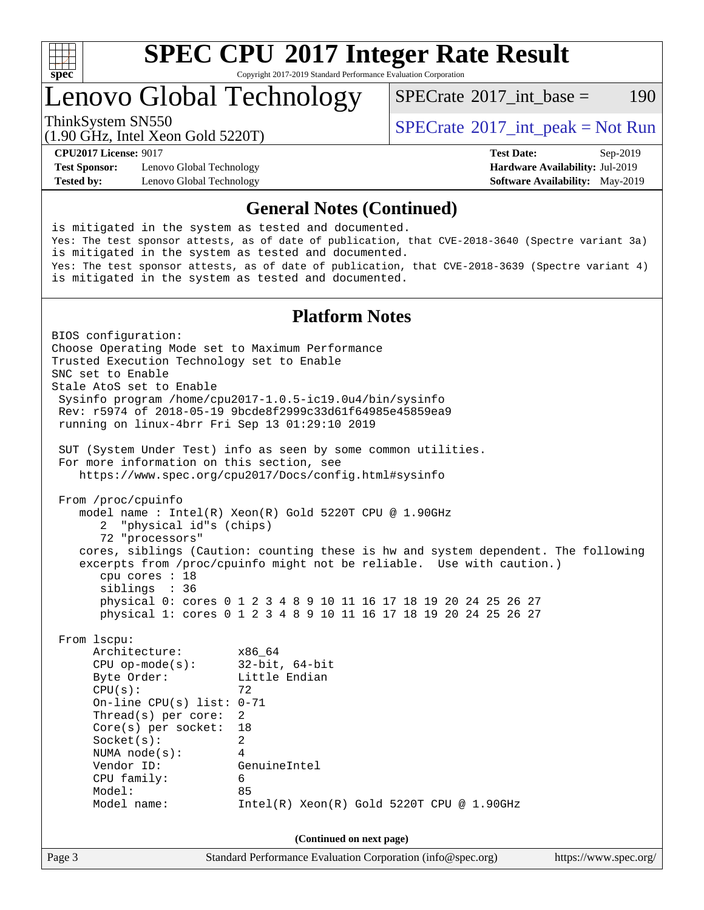

# **[SPEC CPU](http://www.spec.org/auto/cpu2017/Docs/result-fields.html#SPECCPU2017IntegerRateResult)[2017 Integer Rate Result](http://www.spec.org/auto/cpu2017/Docs/result-fields.html#SPECCPU2017IntegerRateResult)**

Copyright 2017-2019 Standard Performance Evaluation Corporation

# Lenovo Global Technology

 $SPECTate^{\circ}2017$  int base = 190

(1.90 GHz, Intel Xeon Gold 5220T)

ThinkSystem SN550<br>  $\begin{array}{c}\n\text{SPECrate} \textcirc 2017\_int\_peak = Not Run \\
\text{SPECrate} \textcirc 2017\_int\_peak = Not Run\n\end{array}$  $\begin{array}{c}\n\text{SPECrate} \textcirc 2017\_int\_peak = Not Run \\
\text{SPECrate} \textcirc 2017\_int\_peak = Not Run\n\end{array}$  $\begin{array}{c}\n\text{SPECrate} \textcirc 2017\_int\_peak = Not Run \\
\text{SPECrate} \textcirc 2017\_int\_peak = Not Run\n\end{array}$ 

**[Test Sponsor:](http://www.spec.org/auto/cpu2017/Docs/result-fields.html#TestSponsor)** Lenovo Global Technology **[Hardware Availability:](http://www.spec.org/auto/cpu2017/Docs/result-fields.html#HardwareAvailability)** Jul-2019 **[Tested by:](http://www.spec.org/auto/cpu2017/Docs/result-fields.html#Testedby)** Lenovo Global Technology **[Software Availability:](http://www.spec.org/auto/cpu2017/Docs/result-fields.html#SoftwareAvailability)** May-2019

**[CPU2017 License:](http://www.spec.org/auto/cpu2017/Docs/result-fields.html#CPU2017License)** 9017 **[Test Date:](http://www.spec.org/auto/cpu2017/Docs/result-fields.html#TestDate)** Sep-2019

### **[General Notes \(Continued\)](http://www.spec.org/auto/cpu2017/Docs/result-fields.html#GeneralNotes)**

is mitigated in the system as tested and documented. Yes: The test sponsor attests, as of date of publication, that CVE-2018-3640 (Spectre variant 3a) is mitigated in the system as tested and documented. Yes: The test sponsor attests, as of date of publication, that CVE-2018-3639 (Spectre variant 4) is mitigated in the system as tested and documented. **[Platform Notes](http://www.spec.org/auto/cpu2017/Docs/result-fields.html#PlatformNotes)** BIOS configuration: Choose Operating Mode set to Maximum Performance Trusted Execution Technology set to Enable SNC set to Enable Stale AtoS set to Enable Sysinfo program /home/cpu2017-1.0.5-ic19.0u4/bin/sysinfo Rev: r5974 of 2018-05-19 9bcde8f2999c33d61f64985e45859ea9

running on linux-4brr Fri Sep 13 01:29:10 2019

 SUT (System Under Test) info as seen by some common utilities. For more information on this section, see <https://www.spec.org/cpu2017/Docs/config.html#sysinfo>

 From /proc/cpuinfo model name : Intel(R) Xeon(R) Gold 5220T CPU @ 1.90GHz 2 "physical id"s (chips) 72 "processors" cores, siblings (Caution: counting these is hw and system dependent. The following excerpts from /proc/cpuinfo might not be reliable. Use with caution.) cpu cores : 18 siblings : 36 physical 0: cores 0 1 2 3 4 8 9 10 11 16 17 18 19 20 24 25 26 27

physical 1: cores 0 1 2 3 4 8 9 10 11 16 17 18 19 20 24 25 26 27

From lscpu:

Architecture: x86\_64 CPU op-mode(s): 32-bit, 64-bit Byte Order: Little Endian  $CPU(s):$  72 On-line CPU(s) list: 0-71 Thread(s) per core: 2 Core(s) per socket: 18 Socket(s): 2 NUMA node(s): 4 Vendor ID: GenuineIntel CPU family: 6 Model: 85 Model name: Intel(R) Xeon(R) Gold 5220T CPU @ 1.90GHz

**(Continued on next page)**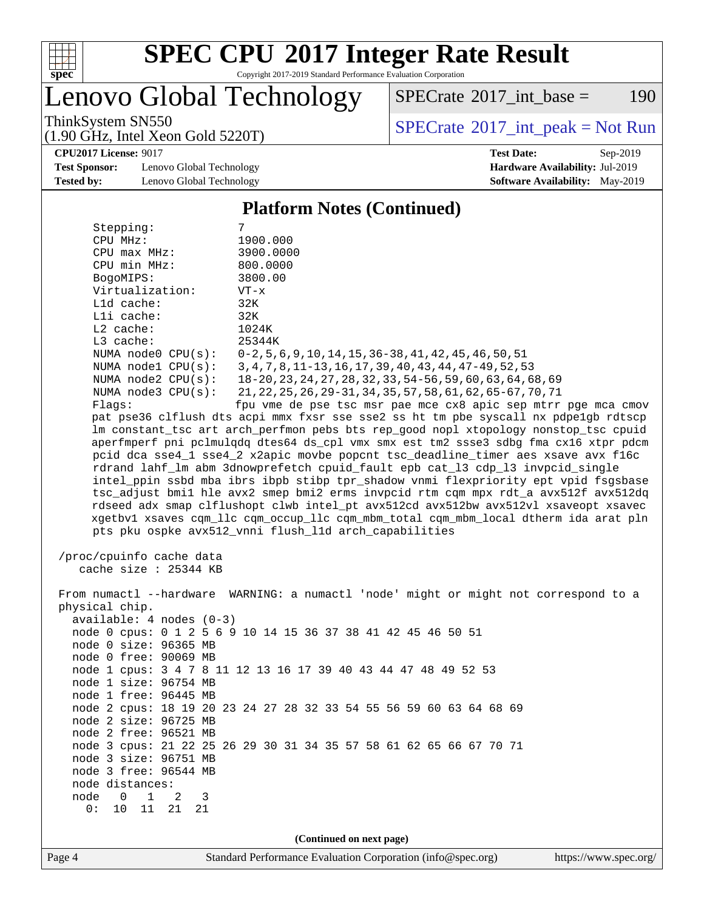

# **[SPEC CPU](http://www.spec.org/auto/cpu2017/Docs/result-fields.html#SPECCPU2017IntegerRateResult)[2017 Integer Rate Result](http://www.spec.org/auto/cpu2017/Docs/result-fields.html#SPECCPU2017IntegerRateResult)**

Copyright 2017-2019 Standard Performance Evaluation Corporation

Lenovo Global Technology

 $SPECTate@2017_int\_base = 190$ 

(1.90 GHz, Intel Xeon Gold 5220T)

ThinkSystem SN550<br>(1.90 GHz, Intel Xeon Gold 5220T) [SPECrate](http://www.spec.org/auto/cpu2017/Docs/result-fields.html#SPECrate2017intpeak)®[2017\\_int\\_peak = N](http://www.spec.org/auto/cpu2017/Docs/result-fields.html#SPECrate2017intpeak)ot Run

**[Test Sponsor:](http://www.spec.org/auto/cpu2017/Docs/result-fields.html#TestSponsor)** Lenovo Global Technology **[Hardware Availability:](http://www.spec.org/auto/cpu2017/Docs/result-fields.html#HardwareAvailability)** Jul-2019 **[Tested by:](http://www.spec.org/auto/cpu2017/Docs/result-fields.html#Testedby)** Lenovo Global Technology **[Software Availability:](http://www.spec.org/auto/cpu2017/Docs/result-fields.html#SoftwareAvailability)** May-2019

**[CPU2017 License:](http://www.spec.org/auto/cpu2017/Docs/result-fields.html#CPU2017License)** 9017 **[Test Date:](http://www.spec.org/auto/cpu2017/Docs/result-fields.html#TestDate)** Sep-2019

### **[Platform Notes \(Continued\)](http://www.spec.org/auto/cpu2017/Docs/result-fields.html#PlatformNotes)**

| Stepping:                                                                                         | 7                                                                                                                                                    |
|---------------------------------------------------------------------------------------------------|------------------------------------------------------------------------------------------------------------------------------------------------------|
| CPU MHz:                                                                                          | 1900.000                                                                                                                                             |
| $CPU$ $max$ $MHz$ :                                                                               | 3900.0000                                                                                                                                            |
| CPU min MHz:                                                                                      | 800.0000                                                                                                                                             |
| BogoMIPS:                                                                                         | 3800.00                                                                                                                                              |
| Virtualization:                                                                                   | $VT - x$                                                                                                                                             |
| L1d cache:                                                                                        | 32K                                                                                                                                                  |
| Lli cache:                                                                                        | 32K                                                                                                                                                  |
| L2 cache:                                                                                         | 1024K                                                                                                                                                |
| L3 cache:                                                                                         | 25344K                                                                                                                                               |
| NUMA node0 CPU(s):                                                                                | $0-2, 5, 6, 9, 10, 14, 15, 36-38, 41, 42, 45, 46, 50, 51$                                                                                            |
| NUMA $node1$ $CPU(s):$                                                                            | 3, 4, 7, 8, 11-13, 16, 17, 39, 40, 43, 44, 47-49, 52, 53                                                                                             |
| NUMA $node2$ $CPU(s):$                                                                            | 18-20, 23, 24, 27, 28, 32, 33, 54-56, 59, 60, 63, 64, 68, 69                                                                                         |
| NUMA $node3$ $CPU(s):$                                                                            | 21, 22, 25, 26, 29-31, 34, 35, 57, 58, 61, 62, 65-67, 70, 71                                                                                         |
| Flags:                                                                                            | fpu vme de pse tsc msr pae mce cx8 apic sep mtrr pge mca cmov                                                                                        |
|                                                                                                   | pat pse36 clflush dts acpi mmx fxsr sse sse2 ss ht tm pbe syscall nx pdpelgb rdtscp                                                                  |
|                                                                                                   | lm constant_tsc art arch_perfmon pebs bts rep_good nopl xtopology nonstop_tsc cpuid                                                                  |
|                                                                                                   | aperfmperf pni pclmulqdq dtes64 ds_cpl vmx smx est tm2 ssse3 sdbg fma cx16 xtpr pdcm                                                                 |
|                                                                                                   | pcid dca sse4_1 sse4_2 x2apic movbe popcnt tsc_deadline_timer aes xsave avx f16c                                                                     |
|                                                                                                   | rdrand lahf_lm abm 3dnowprefetch cpuid_fault epb cat_13 cdp_13 invpcid_single                                                                        |
|                                                                                                   | intel_ppin ssbd mba ibrs ibpb stibp tpr_shadow vnmi flexpriority ept vpid fsgsbase                                                                   |
|                                                                                                   | tsc_adjust bmil hle avx2 smep bmi2 erms invpcid rtm cqm mpx rdt_a avx512f avx512dq                                                                   |
|                                                                                                   | rdseed adx smap clflushopt clwb intel_pt avx512cd avx512bw avx512vl xsaveopt xsavec                                                                  |
|                                                                                                   | xgetbvl xsaves cqm_llc cqm_occup_llc cqm_mbm_total cqm_mbm_local dtherm ida arat pln                                                                 |
|                                                                                                   | pts pku ospke avx512_vnni flush_lld arch_capabilities                                                                                                |
| /proc/cpuinfo cache data<br>cache size : 25344 KB<br>physical chip.<br>$available: 4 nodes (0-3)$ | From numactl --hardware WARNING: a numactl 'node' might or might not correspond to a<br>node 0 cpus: 0 1 2 5 6 9 10 14 15 36 37 38 41 42 45 46 50 51 |
| node 0 size: 96365 MB                                                                             |                                                                                                                                                      |
| node 0 free: 90069 MB                                                                             | node 1 cpus: 3 4 7 8 11 12 13 16 17 39 40 43 44 47 48 49 52 53                                                                                       |
| node 1 size: 96754 MB                                                                             |                                                                                                                                                      |
| node 1 free: 96445 MB                                                                             |                                                                                                                                                      |
|                                                                                                   | node 2 cpus: 18 19 20 23 24 27 28 32 33 54 55 56 59 60 63 64 68 69                                                                                   |
| node 2 size: 96725 MB                                                                             |                                                                                                                                                      |
| node 2 free: 96521 MB                                                                             |                                                                                                                                                      |
|                                                                                                   | node 3 cpus: 21 22 25 26 29 30 31 34 35 57 58 61 62 65 66 67 70 71                                                                                   |
| node 3 size: 96751 MB                                                                             |                                                                                                                                                      |
| node 3 free: 96544 MB                                                                             |                                                                                                                                                      |
| node distances:                                                                                   |                                                                                                                                                      |
| 1<br>node<br>0<br>2<br>3                                                                          |                                                                                                                                                      |
| 0:<br>10<br>11<br>21<br>21                                                                        |                                                                                                                                                      |
|                                                                                                   |                                                                                                                                                      |
|                                                                                                   | (Continued on next page)                                                                                                                             |
|                                                                                                   | $C_{\alpha}$ <b>C</b> <sub>a</sub> $G_{\alpha}$                                                                                                      |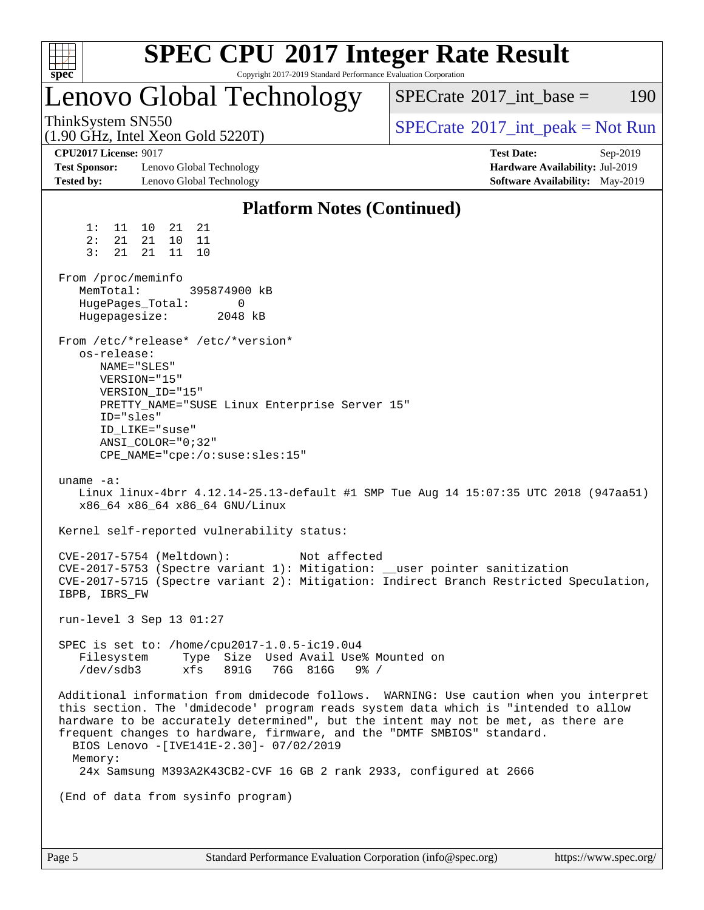| spec <sup>®</sup>                                                                                                                    |                                                                                                                                                                                                                        |                              | Copyright 2017-2019 Standard Performance Evaluation Corporation      | <b>SPEC CPU®2017 Integer Rate Result</b>                                                                                                                                                                                                                                                                                                                                                                             |                                                                                         |          |
|--------------------------------------------------------------------------------------------------------------------------------------|------------------------------------------------------------------------------------------------------------------------------------------------------------------------------------------------------------------------|------------------------------|----------------------------------------------------------------------|----------------------------------------------------------------------------------------------------------------------------------------------------------------------------------------------------------------------------------------------------------------------------------------------------------------------------------------------------------------------------------------------------------------------|-----------------------------------------------------------------------------------------|----------|
| Lenovo Global Technology                                                                                                             |                                                                                                                                                                                                                        |                              |                                                                      | $SPECrate^{\circledast}2017$ int base =                                                                                                                                                                                                                                                                                                                                                                              |                                                                                         | 190      |
| ThinkSystem SN550<br>$(1.90 \text{ GHz}, \text{Intel Xeon Gold } 5220 \text{T})$                                                     |                                                                                                                                                                                                                        |                              |                                                                      | $SPECrate^{\circledcirc}2017\_int\_peak = Not Run$                                                                                                                                                                                                                                                                                                                                                                   |                                                                                         |          |
| <b>CPU2017 License: 9017</b><br><b>Test Sponsor:</b><br><b>Tested by:</b>                                                            | Lenovo Global Technology<br>Lenovo Global Technology                                                                                                                                                                   |                              |                                                                      |                                                                                                                                                                                                                                                                                                                                                                                                                      | <b>Test Date:</b><br>Hardware Availability: Jul-2019<br>Software Availability: May-2019 | Sep-2019 |
|                                                                                                                                      |                                                                                                                                                                                                                        |                              | <b>Platform Notes (Continued)</b>                                    |                                                                                                                                                                                                                                                                                                                                                                                                                      |                                                                                         |          |
| 1:<br>11<br>2:<br>21<br>3:<br>21<br>From /proc/meminfo<br>MemTotal:<br>HugePages_Total:<br>Hugepagesize:<br>os-release:<br>ID="sles" | 10<br>21<br>21<br>21<br>10<br>11<br>21<br>11<br>10<br>From /etc/*release* /etc/*version*<br>NAME="SLES"<br>VERSION="15"<br>VERSION_ID="15"<br>ID LIKE="suse"<br>$ANSI$ _COLOR="0;32"<br>CPE_NAME="cpe:/o:suse:sles:15" | 395874900 kB<br>0<br>2048 kB | PRETTY_NAME="SUSE Linux Enterprise Server 15"                        |                                                                                                                                                                                                                                                                                                                                                                                                                      |                                                                                         |          |
| uname $-a$ :                                                                                                                         | x86_64 x86_64 x86_64 GNU/Linux                                                                                                                                                                                         |                              |                                                                      | Linux linux-4brr 4.12.14-25.13-default #1 SMP Tue Aug 14 15:07:35 UTC 2018 (947aa51)                                                                                                                                                                                                                                                                                                                                 |                                                                                         |          |
|                                                                                                                                      | Kernel self-reported vulnerability status:                                                                                                                                                                             |                              |                                                                      |                                                                                                                                                                                                                                                                                                                                                                                                                      |                                                                                         |          |
| IBPB, IBRS FW                                                                                                                        | CVE-2017-5754 (Meltdown):                                                                                                                                                                                              |                              | Not affected                                                         | CVE-2017-5753 (Spectre variant 1): Mitigation: __user pointer sanitization<br>CVE-2017-5715 (Spectre variant 2): Mitigation: Indirect Branch Restricted Speculation,                                                                                                                                                                                                                                                 |                                                                                         |          |
|                                                                                                                                      | run-level 3 Sep 13 01:27                                                                                                                                                                                               |                              |                                                                      |                                                                                                                                                                                                                                                                                                                                                                                                                      |                                                                                         |          |
| Filesystem<br>/dev/sdb3                                                                                                              | SPEC is set to: /home/cpu2017-1.0.5-ic19.0u4<br>xfs                                                                                                                                                                    | 891G                         | Type Size Used Avail Use% Mounted on<br>76G 816G<br>$9\frac{6}{6}$ / |                                                                                                                                                                                                                                                                                                                                                                                                                      |                                                                                         |          |
| Memory:                                                                                                                              | BIOS Lenovo -[IVE141E-2.30]- 07/02/2019                                                                                                                                                                                |                              |                                                                      | Additional information from dmidecode follows. WARNING: Use caution when you interpret<br>this section. The 'dmidecode' program reads system data which is "intended to allow<br>hardware to be accurately determined", but the intent may not be met, as there are<br>frequent changes to hardware, firmware, and the "DMTF SMBIOS" standard.<br>24x Samsung M393A2K43CB2-CVF 16 GB 2 rank 2933, configured at 2666 |                                                                                         |          |
|                                                                                                                                      | (End of data from sysinfo program)                                                                                                                                                                                     |                              |                                                                      |                                                                                                                                                                                                                                                                                                                                                                                                                      |                                                                                         |          |
|                                                                                                                                      |                                                                                                                                                                                                                        |                              |                                                                      |                                                                                                                                                                                                                                                                                                                                                                                                                      |                                                                                         |          |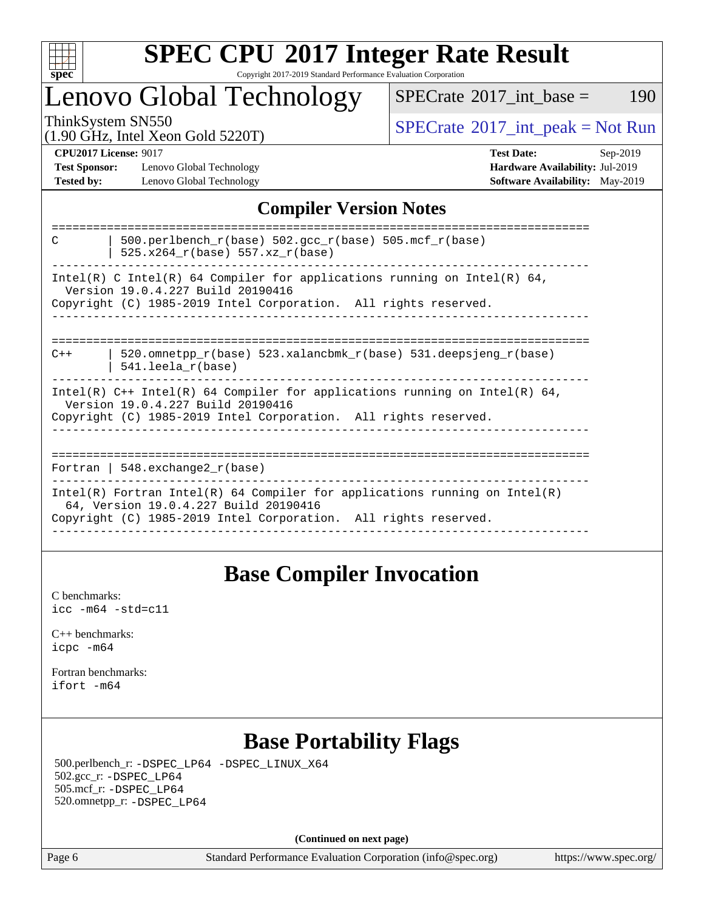

### **[SPEC CPU](http://www.spec.org/auto/cpu2017/Docs/result-fields.html#SPECCPU2017IntegerRateResult)[2017 Integer Rate Result](http://www.spec.org/auto/cpu2017/Docs/result-fields.html#SPECCPU2017IntegerRateResult)** Copyright 2017-2019 Standard Performance Evaluation Corporation

# Lenovo Global Technology

 $SPECTate$ <sup>®</sup>[2017\\_int\\_base =](http://www.spec.org/auto/cpu2017/Docs/result-fields.html#SPECrate2017intbase) 190

(1.90 GHz, Intel Xeon Gold 5220T)

ThinkSystem SN550<br>(1.00 GHz, Intel Year Gold 5220T) [SPECrate](http://www.spec.org/auto/cpu2017/Docs/result-fields.html#SPECrate2017intpeak)®[2017\\_int\\_peak = N](http://www.spec.org/auto/cpu2017/Docs/result-fields.html#SPECrate2017intpeak)ot Run

**[Test Sponsor:](http://www.spec.org/auto/cpu2017/Docs/result-fields.html#TestSponsor)** Lenovo Global Technology **[Hardware Availability:](http://www.spec.org/auto/cpu2017/Docs/result-fields.html#HardwareAvailability)** Jul-2019 **[Tested by:](http://www.spec.org/auto/cpu2017/Docs/result-fields.html#Testedby)** Lenovo Global Technology **[Software Availability:](http://www.spec.org/auto/cpu2017/Docs/result-fields.html#SoftwareAvailability)** May-2019

**[CPU2017 License:](http://www.spec.org/auto/cpu2017/Docs/result-fields.html#CPU2017License)** 9017 **[Test Date:](http://www.spec.org/auto/cpu2017/Docs/result-fields.html#TestDate)** Sep-2019

### **[Compiler Version Notes](http://www.spec.org/auto/cpu2017/Docs/result-fields.html#CompilerVersionNotes)**

| 500.perlbench $r(base)$ 502.qcc $r(base)$ 505.mcf $r(base)$<br>$\mathcal{C}$<br>525.x264 r(base) 557.xz r(base)                                                                        |
|----------------------------------------------------------------------------------------------------------------------------------------------------------------------------------------|
| Intel(R) C Intel(R) 64 Compiler for applications running on Intel(R) 64,<br>Version 19.0.4.227 Build 20190416                                                                          |
| Copyright (C) 1985-2019 Intel Corporation. All rights reserved.                                                                                                                        |
| 520.omnetpp $r(base)$ 523.xalancbmk $r(base)$ 531.deepsjeng $r(base)$<br>$C++$<br>$541.$ leela r(base)                                                                                 |
| Intel(R) $C++$ Intel(R) 64 Compiler for applications running on Intel(R) 64,<br>Version 19.0.4.227 Build 20190416<br>Copyright (C) 1985-2019 Intel Corporation. All rights reserved.   |
| Fortran   548.exchange2 $r(base)$                                                                                                                                                      |
| Intel(R) Fortran Intel(R) 64 Compiler for applications running on Intel(R)<br>64, Version 19.0.4.227 Build 20190416<br>Copyright (C) 1985-2019 Intel Corporation. All rights reserved. |
|                                                                                                                                                                                        |

### **[Base Compiler Invocation](http://www.spec.org/auto/cpu2017/Docs/result-fields.html#BaseCompilerInvocation)**

[C benchmarks](http://www.spec.org/auto/cpu2017/Docs/result-fields.html#Cbenchmarks): [icc -m64 -std=c11](http://www.spec.org/cpu2017/results/res2019q4/cpu2017-20190916-18225.flags.html#user_CCbase_intel_icc_64bit_c11_33ee0cdaae7deeeab2a9725423ba97205ce30f63b9926c2519791662299b76a0318f32ddfffdc46587804de3178b4f9328c46fa7c2b0cd779d7a61945c91cd35)

[C++ benchmarks:](http://www.spec.org/auto/cpu2017/Docs/result-fields.html#CXXbenchmarks) [icpc -m64](http://www.spec.org/cpu2017/results/res2019q4/cpu2017-20190916-18225.flags.html#user_CXXbase_intel_icpc_64bit_4ecb2543ae3f1412ef961e0650ca070fec7b7afdcd6ed48761b84423119d1bf6bdf5cad15b44d48e7256388bc77273b966e5eb805aefd121eb22e9299b2ec9d9)

[Fortran benchmarks](http://www.spec.org/auto/cpu2017/Docs/result-fields.html#Fortranbenchmarks): [ifort -m64](http://www.spec.org/cpu2017/results/res2019q4/cpu2017-20190916-18225.flags.html#user_FCbase_intel_ifort_64bit_24f2bb282fbaeffd6157abe4f878425411749daecae9a33200eee2bee2fe76f3b89351d69a8130dd5949958ce389cf37ff59a95e7a40d588e8d3a57e0c3fd751)

## **[Base Portability Flags](http://www.spec.org/auto/cpu2017/Docs/result-fields.html#BasePortabilityFlags)**

 500.perlbench\_r: [-DSPEC\\_LP64](http://www.spec.org/cpu2017/results/res2019q4/cpu2017-20190916-18225.flags.html#b500.perlbench_r_basePORTABILITY_DSPEC_LP64) [-DSPEC\\_LINUX\\_X64](http://www.spec.org/cpu2017/results/res2019q4/cpu2017-20190916-18225.flags.html#b500.perlbench_r_baseCPORTABILITY_DSPEC_LINUX_X64) 502.gcc\_r: [-DSPEC\\_LP64](http://www.spec.org/cpu2017/results/res2019q4/cpu2017-20190916-18225.flags.html#suite_basePORTABILITY502_gcc_r_DSPEC_LP64) 505.mcf\_r: [-DSPEC\\_LP64](http://www.spec.org/cpu2017/results/res2019q4/cpu2017-20190916-18225.flags.html#suite_basePORTABILITY505_mcf_r_DSPEC_LP64) 520.omnetpp\_r: [-DSPEC\\_LP64](http://www.spec.org/cpu2017/results/res2019q4/cpu2017-20190916-18225.flags.html#suite_basePORTABILITY520_omnetpp_r_DSPEC_LP64)

**(Continued on next page)**

Page 6 Standard Performance Evaluation Corporation [\(info@spec.org\)](mailto:info@spec.org) <https://www.spec.org/>